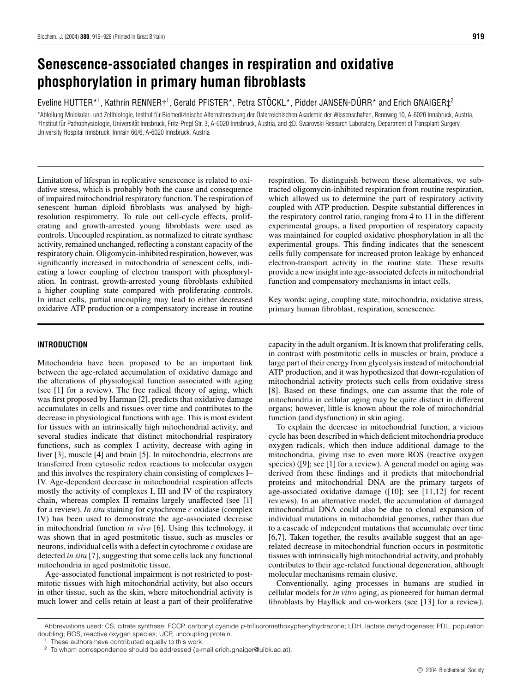# **Senescence-associated changes in respiration and oxidative phosphorylation in primary human fibroblasts**

Eveline HUTTER\*1, Kathrin RENNER†1, Gerald PFISTER\*, Petra STÖCKL\*, Pidder JANSEN-DÜRR\* and Erich GNAIGER $\ddagger^2$ 

\*Abteilung Molekular- und Zellbiologie, Institut für Biomedizinische Alternsforschung der Österreichischen Akademie der Wissenschaften, Rennweg 10, A-6020 Innsbruck, Austria, †Institut fur Pathophysiologie, Universit ¨ at Innsbruck, Fritz-Pregl Str. 3, A-6020 Innsbruck, Austria, and ¨ ‡D. Swarovski Research Laboratory, Department of Transplant Surgery, University Hospital Innsbruck, Innrain 66/6, A-6020 Innsbruck, Austria

Limitation of lifespan in replicative senescence is related to oxidative stress, which is probably both the cause and consequence of impaired mitochondrial respiratory function. The respiration of senescent human diploid fibroblasts was analysed by highresolution respirometry. To rule out cell-cycle effects, proliferating and growth-arrested young fibroblasts were used as controls. Uncoupled respiration, as normalized to citrate synthase activity, remained unchanged, reflecting a constant capacity of the respiratory chain. Oligomycin-inhibited respiration, however, was significantly increased in mitochondria of senescent cells, indicating a lower coupling of electron transport with phosphorylation. In contrast, growth-arrested young fibroblasts exhibited a higher coupling state compared with proliferating controls. In intact cells, partial uncoupling may lead to either decreased oxidative ATP production or a compensatory increase in routine

# **INTRODUCTION**

Mitochondria have been proposed to be an important link between the age-related accumulation of oxidative damage and the alterations of physiological function associated with aging (see [1] for a review). The free radical theory of aging, which was first proposed by Harman [2], predicts that oxidative damage accumulates in cells and tissues over time and contributes to the decrease in physiological functions with age. This is most evident for tissues with an intrinsically high mitochondrial activity, and several studies indicate that distinct mitochondrial respiratory functions, such as complex I activity, decrease with aging in liver [3], muscle [4] and brain [5]. In mitochondria, electrons are transferred from cytosolic redox reactions to molecular oxygen and this involves the respiratory chain consisting of complexes I– IV. Age-dependent decrease in mitochondrial respiration affects mostly the activity of complexes I, III and IV of the respiratory chain, whereas complex II remains largely unaffected (see [1] for a review). *In situ* staining for cytochrome *c* oxidase (complex IV) has been used to demonstrate the age-associated decrease in mitochondrial function *in vivo* [6]. Using this technology, it was shown that in aged postmitotic tissue, such as muscles or neurons, individual cells with a defect in cytochrome *c* oxidase are detected *in situ* [7], suggesting that some cells lack any functional mitochondria in aged postmitotic tissue.

Age-associated functional impairment is not restricted to postmitotic tissues with high mitochondrial activity, but also occurs in other tissue, such as the skin, where mitochondrial activity is much lower and cells retain at least a part of their proliferative respiration. To distinguish between these alternatives, we subtracted oligomycin-inhibited respiration from routine respiration, which allowed us to determine the part of respiratory activity coupled with ATP production. Despite substantial differences in the respiratory control ratio, ranging from 4 to 11 in the different experimental groups, a fixed proportion of respiratory capacity was maintained for coupled oxidative phosphorylation in all the experimental groups. This finding indicates that the senescent cells fully compensate for increased proton leakage by enhanced electron-transport activity in the routine state. These results provide a new insight into age-associated defects in mitochondrial function and compensatory mechanisms in intact cells.

Key words: aging, coupling state, mitochondria, oxidative stress, primary human fibroblast, respiration, senescence.

capacity in the adult organism. It is known that proliferating cells, in contrast with postmitotic cells in muscles or brain, produce a large part of their energy from glycolysis instead of mitochondrial ATP production, and it was hypothesized that down-regulation of mitochondrial activity protects such cells from oxidative stress [8]. Based on these findings, one can assume that the role of mitochondria in cellular aging may be quite distinct in different organs; however, little is known about the role of mitochondrial function (and dysfunction) in skin aging.

To explain the decrease in mitochondrial function, a vicious cycle has been described in which deficient mitochondria produce oxygen radicals, which then induce additional damage to the mitochondria, giving rise to even more ROS (reactive oxygen species) ([9]; see [1] for a review). A general model on aging was derived from these findings and it predicts that mitochondrial proteins and mitochondrial DNA are the primary targets of age-associated oxidative damage ([10]; see [11,12] for recent reviews). In an alternative model, the accumulation of damaged mitochondrial DNA could also be due to clonal expansion of individual mutations in mitochondrial genomes, rather than due to a cascade of independent mutations that accumulate over time [6,7]. Taken together, the results available suggest that an agerelated decrease in mitochondrial function occurs in postmitotic tissues with intrinsically high mitochondrial activity, and probably contributes to their age-related functional degeneration, although molecular mechanisms remain elusive.

Conventionally, aging processes in humans are studied in cellular models for *in vitro* aging, as pioneered for human dermal fibroblasts by Hayflick and co-workers (see [13] for a review).

Abbreviations used: CS, citrate synthase; FCCP, carbonyl cyanide p-trifluoromethoxyphenylhydrazone; LDH, lactate dehydrogenase; PDL, population doubling; ROS, reactive oxygen species; UCP, uncoupling protein.

These authors have contributed equally to this work.

<sup>2</sup> To whom correspondence should be addressed (e-mail erich.gnaiger@uibk.ac.at).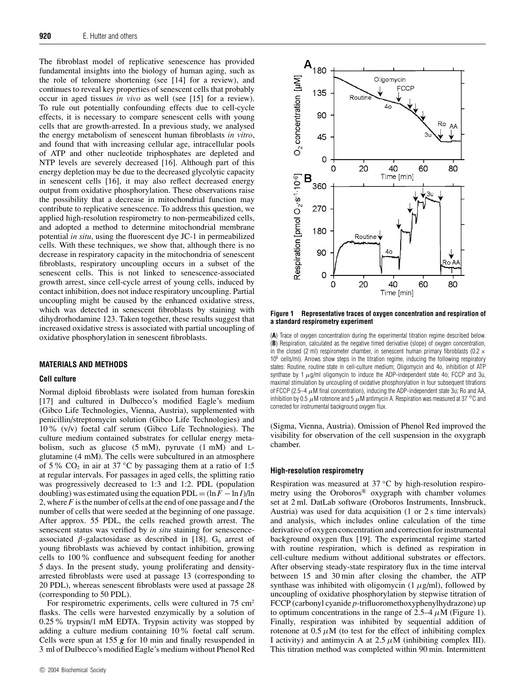The fibroblast model of replicative senescence has provided fundamental insights into the biology of human aging, such as the role of telomere shortening (see [14] for a review), and continues to reveal key properties of senescent cells that probably occur in aged tissues *in vivo* as well (see [15] for a review). To rule out potentially confounding effects due to cell-cycle effects, it is necessary to compare senescent cells with young cells that are growth-arrested. In a previous study, we analysed the energy metabolism of senescent human fibroblasts *in vitro*, and found that with increasing cellular age, intracellular pools of ATP and other nucleotide triphosphates are depleted and NTP levels are severely decreased [16]. Although part of this energy depletion may be due to the decreased glycolytic capacity in senescent cells [16], it may also reflect decreased energy output from oxidative phosphorylation. These observations raise the possibility that a decrease in mitochondrial function may contribute to replicative senescence. To address this question, we applied high-resolution respirometry to non-permeabilized cells, and adopted a method to determine mitochondrial membrane potential *in situ*, using the fluorescent dye JC-1 in permeabilized cells. With these techniques, we show that, although there is no decrease in respiratory capacity in the mitochondria of senescent fibroblasts, respiratory uncoupling occurs in a subset of the senescent cells. This is not linked to senescence-associated growth arrest, since cell-cycle arrest of young cells, induced by contact inhibition, does not induce respiratory uncoupling. Partial uncoupling might be caused by the enhanced oxidative stress, which was detected in senescent fibroblasts by staining with dihydrorhodamine 123. Taken together, these results suggest that increased oxidative stress is associated with partial uncoupling of oxidative phosphorylation in senescent fibroblasts.

# **MATERIALS AND METHODS**

## **Cell culture**

Normal diploid fibroblasts were isolated from human foreskin [17] and cultured in Dulbecco's modified Eagle's medium (Gibco Life Technologies, Vienna, Austria), supplemented with penicillin/streptomycin solution (Gibco Life Technologies) and 10% (v/v) foetal calf serum (Gibco Life Technologies). The culture medium contained substrates for cellular energy metabolism, such as glucose  $(5 \text{ mM})$ , pyruvate  $(1 \text{ mM})$  and Lglutamine (4 mM). The cells were subcultured in an atmosphere of 5 % CO<sub>2</sub> in air at 37 °C by passaging them at a ratio of 1:5 at regular intervals. For passages in aged cells, the splitting ratio was progressively decreased to 1:3 and 1:2. PDL (population doubling) was estimated using the equation  $PDL = (\ln F - \ln I)/\ln$ 2, where *F* is the number of cells at the end of one passage and *I* the number of cells that were seeded at the beginning of one passage. After approx. 55 PDL, the cells reached growth arrest. The senescent status was verified by *in situ* staining for senescenceassociated  $\beta$ -galactosidase as described in [18]. G<sub>0</sub> arrest of young fibroblasts was achieved by contact inhibition, growing cells to 100% confluence and subsequent feeding for another 5 days. In the present study, young proliferating and densityarrested fibroblasts were used at passage 13 (corresponding to 20 PDL), whereas senescent fibroblasts were used at passage 28 (corresponding to 50 PDL).

For respirometric experiments, cells were cultured in 75 cm<sup>2</sup> flasks. The cells were harvested enzymically by a solution of 0.25% trypsin/1 mM EDTA. Trypsin activity was stopped by adding a culture medium containing 10% foetal calf serum. Cells were spun at 155 *g* for 10 min and finally resuspended in 3 ml of Dulbecco's modified Eagle's medium without Phenol Red



**Figure 1 Representative traces of oxygen concentration and respiration of a standard respirometry experiment**

(**A**) Trace of oxygen concentration during the experimental titration regime described below. (**B**) Respiration, calculated as the negative timed derivative (slope) of oxygen concentration, in the closed (2 ml) respirometer chamber, in senescent human primary fibroblasts (0.2  $\times$ 10<sup>6</sup> cells/ml). Arrows show steps in the titration regime, inducing the following respiratory states: Routine, routine state in cell-culture medium; Oligomycin and 4o, inhibition of ATP synthase by 1  $\mu$ g/ml oligomycin to induce the ADP-independent state 4o; FCCP and 3u, maximal stimulation by uncoupling of oxidative phosphorylation in four subsequent titrations of FCCP (2.5–4  $\mu$ M final concentration), inducing the ADP-independent state 3u; Ro and AA, inhibition by 0.5 µM rotenone and 5 µM antimycin A. Respiration was measured at 37 *◦*C and corrected for instrumental background oxygen flux.

(Sigma, Vienna, Austria). Omission of Phenol Red improved the visibility for observation of the cell suspension in the oxygraph chamber.

## **High-resolution respirometry**

Respiration was measured at 37 *◦*C by high-resolution respirometry using the Oroboros® oxygraph with chamber volumes set at 2 ml. DatLab software (Oroboros Instruments, Innsbruck, Austria) was used for data acquisition (1 or 2 s time intervals) and analysis, which includes online calculation of the time derivative of oxygen concentration and correction for instrumental background oxygen flux [19]. The experimental regime started with routine respiration, which is defined as respiration in cell-culture medium without additional substrates or effectors. After observing steady-state respiratory flux in the time interval between 15 and 30 min after closing the chamber, the ATP synthase was inhibited with oligomycin  $(1 \mu g/ml)$ , followed by uncoupling of oxidative phosphorylation by stepwise titration of FCCP (carbonyl cyanide *p*-trifluoromethoxyphenylhydrazone) up to optimum concentrations in the range of  $2.5-4 \mu M$  (Figure 1). Finally, respiration was inhibited by sequential addition of rotenone at  $0.5 \mu M$  (to test for the effect of inhibiting complex I activity) and antimycin A at  $2.5 \mu M$  (inhibiting complex III). This titration method was completed within 90 min. Intermittent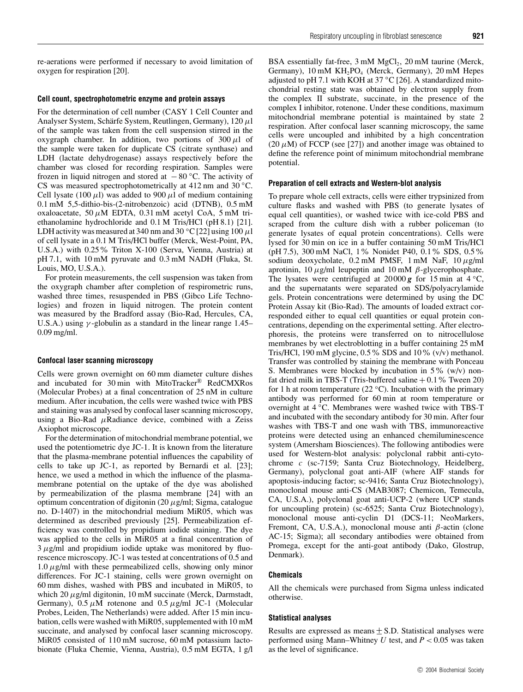re-aerations were performed if necessary to avoid limitation of oxygen for respiration [20].

## **Cell count, spectrophotometric enzyme and protein assays**

For the determination of cell number (CASY 1 Cell Counter and Analyser System, Schärfe System, Reutlingen, Germany), 120 µl of the sample was taken from the cell suspension stirred in the oxygraph chamber. In addition, two portions of  $300 \mu l$  of the sample were taken for duplicate CS (citrate synthase) and LDH (lactate dehydrogenase) assays respectively before the chamber was closed for recording respiration. Samples were frozen in liquid nitrogen and stored at − 80 *◦*C. The activity of CS was measured spectrophotometrically at 412 nm and 30 *◦*C. Cell lysate (100  $\mu$ l) was added to 900  $\mu$ l of medium containing 0.1 mM 5,5-dithio-bis-(2-nitrobenzoic) acid (DTNB), 0.5 mM oxaloacetate, 50 *µ*M EDTA, 0.31 mM acetyl CoA, 5 mM triethanolamine hydrochloride and 0.1 M Tris/HCl (pH 8.1) [21]. LDH activity was measured at 340 nm and 30  $\degree$ C [22] using 100  $\mu$ l of cell lysate in a 0.1 M Tris/HCl buffer (Merck, West-Point, PA, U.S.A.) with 0.25% Triton X-100 (Serva, Vienna, Austria) at pH 7.1, with 10 mM pyruvate and 0.3 mM NADH (Fluka, St. Louis, MO, U.S.A.).

For protein measurements, the cell suspension was taken from the oxygraph chamber after completion of respirometric runs, washed three times, resuspended in PBS (Gibco Life Technologies) and frozen in liquid nitrogen. The protein content was measured by the Bradford assay (Bio-Rad, Hercules, CA, U.S.A.) using *γ* -globulin as a standard in the linear range 1.45– 0.09 mg/ml.

## **Confocal laser scanning microscopy**

Cells were grown overnight on 60 mm diameter culture dishes and incubated for 30 min with MitoTracker® RedCMXRos (Molecular Probes) at a final concentration of 25 nM in culture medium. After incubation, the cells were washed twice with PBS and staining was analysed by confocal laser scanning microscopy, using a Bio-Rad  $\mu$ Radiance device, combined with a Zeiss Axiophot microscope.

For the determination of mitochondrial membrane potential, we used the potentiometric dye JC-1. It is known from the literature that the plasma-membrane potential influences the capability of cells to take up JC-1, as reported by Bernardi et al. [23]; hence, we used a method in which the influence of the plasmamembrane potential on the uptake of the dye was abolished by permeabilization of the plasma membrane [24] with an optimum concentration of digitonin (20 *µ*g/ml; Sigma, catalogue no. D-1407) in the mitochondrial medium MiR05, which was determined as described previously [25]. Permeabilization efficiency was controlled by propidium iodide staining. The dye was applied to the cells in MiR05 at a final concentration of 3 *µ*g/ml and propidium iodide uptake was monitored by fluorescence microscopy. JC-1 was tested at concentrations of 0.5 and  $1.0 \mu$ g/ml with these permeabilized cells, showing only minor differences. For JC-1 staining, cells were grown overnight on 60 mm dishes, washed with PBS and incubated in MiR05, to which 20 *µ*g/ml digitonin, 10 mM succinate (Merck, Darmstadt, Germany),  $0.5 \mu M$  rotenone and  $0.5 \mu g/ml$  JC-1 (Molecular Probes, Leiden, The Netherlands) were added. After 15 min incubation, cells were washed with MiR05, supplemented with 10 mM succinate, and analysed by confocal laser scanning microscopy. MiR05 consisted of 110 mM sucrose, 60 mM potassium lactobionate (Fluka Chemie, Vienna, Austria), 0.5 mM EGTA, 1 g/l

BSA essentially fat-free,  $3 \text{ mM } MgCl<sub>2</sub>$ ,  $20 \text{ mM } t$  taurine (Merck, Germany),  $10 \text{ mM } KH_2PO_4$  (Merck, Germany),  $20 \text{ mM } Hepes$ adjusted to pH 7.1 with KOH at 37 *◦*C [26]. A standardized mitochondrial resting state was obtained by electron supply from the complex II substrate, succinate, in the presence of the complex I inhibitor, rotenone. Under these conditions, maximum mitochondrial membrane potential is maintained by state 2 respiration. After confocal laser scanning microscopy, the same cells were uncoupled and inhibited by a high concentration  $(20 \,\mu\text{M})$  of FCCP (see [27]) and another image was obtained to define the reference point of minimum mitochondrial membrane potential.

## **Preparation of cell extracts and Western-blot analysis**

To prepare whole cell extracts, cells were either trypsinized from culture flasks and washed with PBS (to generate lysates of equal cell quantities), or washed twice with ice-cold PBS and scraped from the culture dish with a rubber policeman (to generate lysates of equal protein concentrations). Cells were lysed for 30 min on ice in a buffer containing 50 mM Tris/HCl (pH 7.5), 300 mM NaCl, 1% Nonidet P40, 0.1% SDS, 0.5% sodium deoxycholate, 0.2 mM PMSF, 1 mM NaF, 10 *µ*g/ml aprotinin, 10 *µ*g/ml leupeptin and 10 mM *β*-glycerophosphate. The lysates were centrifuged at 20 000 *g* for 15 min at 4 *◦*C, and the supernatants were separated on SDS/polyacrylamide gels. Protein concentrations were determined by using the DC Protein Assay kit (Bio-Rad). The amounts of loaded extract corresponded either to equal cell quantities or equal protein concentrations, depending on the experimental setting. After electrophoresis, the proteins were transferred on to nitrocellulose membranes by wet electroblotting in a buffer containing 25 mM Tris/HCl, 190 mM glycine, 0.5% SDS and 10% (v/v) methanol. Transfer was controlled by staining the membrane with Ponceau S. Membranes were blocked by incubation in  $5\%$  (w/v) nonfat dried milk in TBS-T (Tris-buffered saline  $+0.1\%$  Tween 20) for 1 h at room temperature (22 *◦*C). Incubation with the primary antibody was performed for 60 min at room temperature or overnight at 4 *◦*C. Membranes were washed twice with TBS-T and incubated with the secondary antibody for 30 min. After four washes with TBS-T and one wash with TBS, immunoreactive proteins were detected using an enhanced chemiluminescence system (Amersham Biosciences). The following antibodies were used for Western-blot analysis: polyclonal rabbit anti-cytochrome *c* (sc-7159; Santa Cruz Biotechnology, Heidelberg, Germany), polyclonal goat anti-AIF (where AIF stands for apoptosis-inducing factor; sc-9416; Santa Cruz Biotechnology), monoclonal mouse anti-CS (MAB3087; Chemicon, Temecula, CA, U.S.A.), polyclonal goat anti-UCP-2 (where UCP stands for uncoupling protein) (sc-6525; Santa Cruz Biotechnology), monoclonal mouse anti-cyclin D1 (DCS-11; NeoMarkers, Fremont, CA, U.S.A.), monoclonal mouse anti *β*-actin (clone AC-15; Sigma); all secondary antibodies were obtained from Promega, except for the anti-goat antibody (Dako, Glostrup, Denmark).

# **Chemicals**

All the chemicals were purchased from Sigma unless indicated otherwise.

## **Statistical analyses**

Results are expressed as means  $\pm$  S.D. Statistical analyses were performed using Mann–Whitney *U* test, and *P <* 0.05 was taken as the level of significance.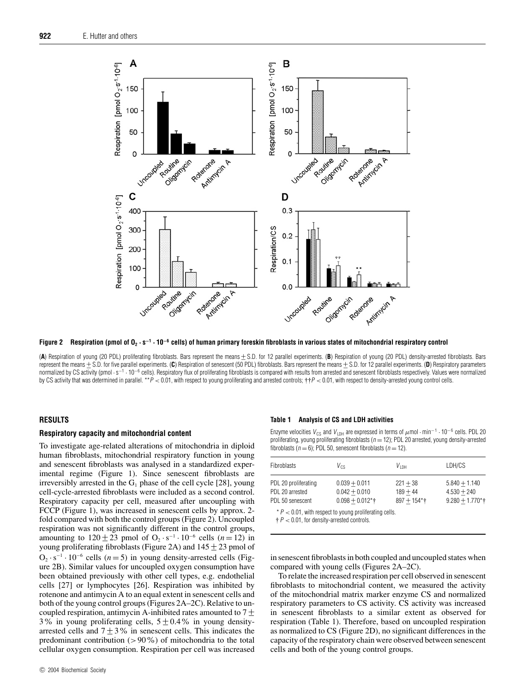

**Figure 2 Respiration (pmol of O2 · s−<sup>1</sup> · 10−<sup>6</sup> cells) of human primary foreskin fibroblasts in various states of mitochondrial respiratory control**

(A) Respiration of young (20 PDL) proliferating fibroblasts. Bars represent the means  $±$  S.D. for 12 parallel experiments. (B) Respiration of young (20 PDL) density-arrested fibroblasts. Bars represent the means +− S.D. for five parallel experiments. (**C**) Respiration of senescent (50 PDL) fibroblasts. Bars represent the means +− S.D. for 12 parallel experiments. (**D**) Respiratory parameters normalized by CS activity (pmol · s<sup>-1</sup> · 10<sup>-6</sup> cells). Respiratory flux of proliferating fibroblasts is compared with results from arrested and senescent fibroblasts respectively. Values were normalized by CS activity that was determined in parallel. \*\*P < 0.01, with respect to young proliferating and arrested controls;  $\dagger + P$  < 0.01, with respect to density-arrested young control cells.

# **RESULTS**

## **Respiratory capacity and mitochondrial content**

To investigate age-related alterations of mitochondria in diploid human fibroblasts, mitochondrial respiratory function in young and senescent fibroblasts was analysed in a standardized experimental regime (Figure 1). Since senescent fibroblasts are irreversibly arrested in the  $G_1$  phase of the cell cycle [28], young cell-cycle-arrested fibroblasts were included as a second control. Respiratory capacity per cell, measured after uncoupling with FCCP (Figure 1), was increased in senescent cells by approx. 2 fold compared with both the control groups (Figure 2). Uncoupled respiration was not significantly different in the control groups, amounting to  $120 \pm 23$  pmol of O<sub>2</sub> · s<sup>-1</sup> · 10<sup>-6</sup> cells (*n* = 12) in young proliferating fibroblasts (Figure 2A) and  $145 \pm 23$  pmol of  $O_2 \cdot s^{-1} \cdot 10^{-6}$  cells (*n* = 5) in young density-arrested cells (Figure 2B). Similar values for uncoupled oxygen consumption have been obtained previously with other cell types, e.g. endothelial cells [27] or lymphocytes [26]. Respiration was inhibited by rotenone and antimycin A to an equal extent in senescent cells and both of the young control groups (Figures 2A–2C). Relative to uncoupled respiration, antimycin A-inhibited rates amounted to 7  $\pm$  3% in young proliferating cells, 5  $\pm$  0.4% in young densityarrested cells and  $7 ± 3%$  in senescent cells. This indicates the predominant contribution (*>*90%) of mitochondria to the total cellular oxygen consumption. Respiration per cell was increased

#### **Table 1 Analysis of CS and LDH activities**

Enzyme velocities V<sub>CS</sub> and V<sub>LDH</sub> are expressed in terms of  $\mu$ mol · min<sup>-1</sup> · 10<sup>-6</sup> cells. PDL 20 proliferating, young proliferating fibroblasts ( $n = 12$ ); PDL 20 arrested, young density-arrested fibroblasts ( $n = 6$ ); PDL 50, senescent fibroblasts ( $n = 12$ ).

| <b>Fibroblasts</b>   | $V_{\text{CS}}$    | $V_{\perp \text{DH}}$      | LDH/CS             |
|----------------------|--------------------|----------------------------|--------------------|
| PDL 20 proliferating | $0.039 + 0.011$    | $221 + 38$                 | $5.840 + 1.140$    |
| PDL 20 arrested      | $0.042 + 0.010$    | $189 + 44$                 | $4.530 + 240$      |
| PDL 50 senescent     | $0.098 + 0.012$ *† | $897 + 154$ <sup>*</sup> † | $9.280 + 1.770$ *† |

 $* P < 0.01$ , with respect to young proliferating cells.

 $\ddagger$  P < 0.01, for density-arrested controls.

in senescent fibroblasts in both coupled and uncoupled states when compared with young cells (Figures 2A–2C).

To relate the increased respiration per cell observed in senescent fibroblasts to mitochondrial content, we measured the activity of the mitochondrial matrix marker enzyme CS and normalized respiratory parameters to CS activity. CS activity was increased in senescent fibroblasts to a similar extent as observed for respiration (Table 1). Therefore, based on uncoupled respiration as normalized to CS (Figure 2D), no significant differences in the capacity of the respiratory chain were observed between senescent cells and both of the young control groups.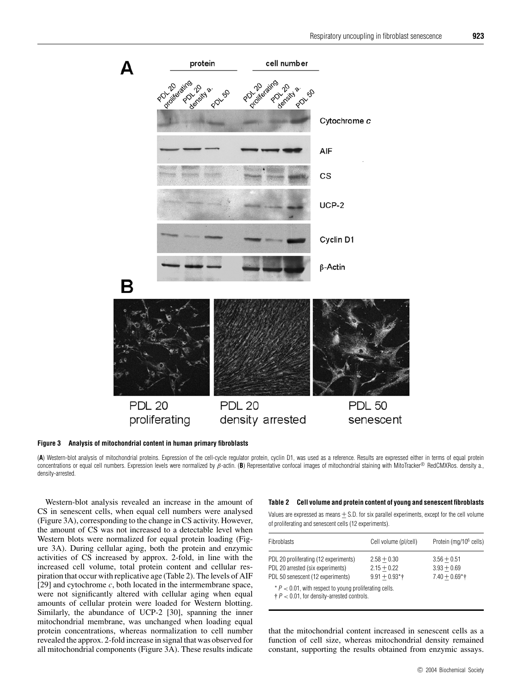

**Figure 3 Analysis of mitochondrial content in human primary fibroblasts**

(**A**) Western-blot analysis of mitochondrial proteins. Expression of the cell-cycle regulator protein, cyclin D1, was used as a reference. Results are expressed either in terms of equal protein concentrations or equal cell numbers. Expression levels were normalized by β-actin. (**B**) Representative confocal images of mitochondrial staining with MitoTracker® RedCMXRos. density a., density-arrested.

Western-blot analysis revealed an increase in the amount of CS in senescent cells, when equal cell numbers were analysed (Figure 3A), corresponding to the change in CS activity. However, the amount of CS was not increased to a detectable level when Western blots were normalized for equal protein loading (Figure 3A). During cellular aging, both the protein and enzymic activities of CS increased by approx. 2-fold, in line with the increased cell volume, total protein content and cellular respiration that occur with replicative age (Table 2). The levels of AIF [29] and cytochrome *c*, both located in the intermembrane space, were not significantly altered with cellular aging when equal amounts of cellular protein were loaded for Western blotting. Similarly, the abundance of UCP-2 [30], spanning the inner mitochondrial membrane, was unchanged when loading equal protein concentrations, whereas normalization to cell number revealed the approx. 2-fold increase in signal that was observed for all mitochondrial components (Figure 3A). These results indicate

#### **Table 2 Cell volume and protein content of young and senescent fibroblasts**

Values are expressed as means  $+$  S.D. for six parallel experiments, except for the cell volume of proliferating and senescent cells (12 experiments).

| Fibroblasts                                                                                                     | Cell volume (pl/cell)                              | Protein (mg/10 <sup>6</sup> cells)                 |
|-----------------------------------------------------------------------------------------------------------------|----------------------------------------------------|----------------------------------------------------|
| PDL 20 proliferating (12 experiments)<br>PDL 20 arrested (six experiments)<br>PDL 50 senescent (12 experiments) | $2.58 + 0.30$<br>$2.15 + 0.22$<br>$9.91 + 0.93$ *† | $3.56 + 0.51$<br>$3.93 + 0.69$<br>$7.40 + 0.69$ *† |
| $* P < 0.01$ , with respect to young proliferating cells.                                                       |                                                    |                                                    |

 $\dagger P < 0.01$ , for density-arrested controls.

that the mitochondrial content increased in senescent cells as a function of cell size, whereas mitochondrial density remained constant, supporting the results obtained from enzymic assays.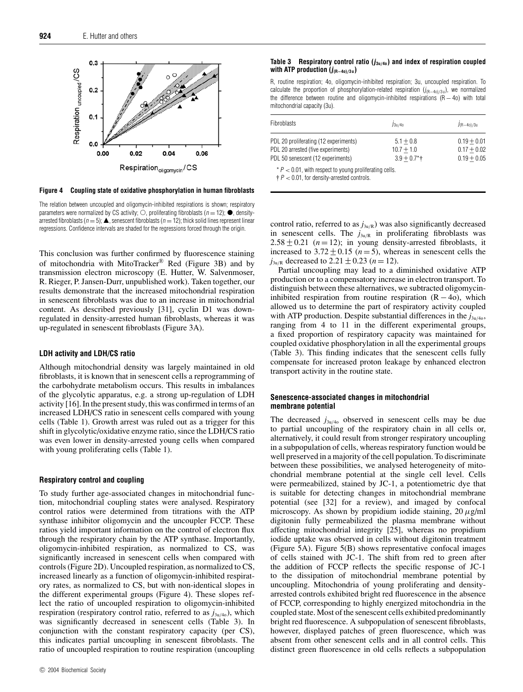

**Figure 4 Coupling state of oxidative phosphorylation in human fibroblasts**

The relation between uncoupled and oligomycin-inhibited respirations is shown; respiratory parameters were normalized by CS activity;  $\bigcirc$ , proliferating fibroblasts ( $n = 12$ );  $\bullet$ , densityarrested fibroblasts ( $n = 5$ );  $\triangle$ , senescent fibroblasts ( $n = 12$ ); thick solid lines represent linear regressions. Confidence intervals are shaded for the regressions forced through the origin.

This conclusion was further confirmed by fluorescence staining of mitochondria with MitoTracker<sup>®</sup> Red (Figure 3B) and by transmission electron microscopy (E. Hutter, W. Salvenmoser, R. Rieger, P. Jansen-Durr, unpublished work). Taken together, our results demonstrate that the increased mitochondrial respiration in senescent fibroblasts was due to an increase in mitochondrial content. As described previously [31], cyclin D1 was downregulated in density-arrested human fibroblasts, whereas it was up-regulated in senescent fibroblasts (Figure 3A).

## **LDH activity and LDH/CS ratio**

Although mitochondrial density was largely maintained in old fibroblasts, it is known that in senescent cells a reprogramming of the carbohydrate metabolism occurs. This results in imbalances of the glycolytic apparatus, e.g. a strong up-regulation of LDH activity [16]. In the present study, this was confirmed in terms of an increased LDH/CS ratio in senescent cells compared with young cells (Table 1). Growth arrest was ruled out as a trigger for this shift in glycolytic/oxidative enzyme ratio, since the LDH/CS ratio was even lower in density-arrested young cells when compared with young proliferating cells (Table 1).

# **Respiratory control and coupling**

To study further age-associated changes in mitochondrial function, mitochondrial coupling states were analysed. Respiratory control ratios were determined from titrations with the ATP synthase inhibitor oligomycin and the uncoupler FCCP. These ratios yield important information on the control of electron flux through the respiratory chain by the ATP synthase. Importantly, oligomycin-inhibited respiration, as normalized to CS, was significantly increased in senescent cells when compared with controls (Figure 2D). Uncoupled respiration, as normalized to CS, increased linearly as a function of oligomycin-inhibited respiratory rates, as normalized to CS, but with non-identical slopes in the different experimental groups (Figure 4). These slopes reflect the ratio of uncoupled respiration to oligomycin-inhibited respiration (respiratory control ratio, referred to as  $j_{3u/40}$ ), which was significantly decreased in senescent cells (Table 3). In conjunction with the constant respiratory capacity (per CS), this indicates partial uncoupling in senescent fibroblasts. The ratio of uncoupled respiration to routine respiration (uncoupling

## **Table 3** Respiratory control ratio  $(j_{3u/40})$  and index of respiration coupled **with ATP production (j(R−4o)***/***3 u)**

R, routine respiration; 4o, oligomycin-inhibited respiration; 3u, uncoupled respiration. To calculate the proportion of phosphorylation-related respiration  $(j_{(R-40)/3u})$ , we normalized the difference between routine and oligomycin-inhibited respirations (R − 4o) with total mitochondrial capacity (3u).

| Fibroblasts                                                                                                      | $J_3u/40$                                               | $J(R-40)/3u$                                    |  |
|------------------------------------------------------------------------------------------------------------------|---------------------------------------------------------|-------------------------------------------------|--|
| PDL 20 proliferating (12 experiments)<br>PDL 20 arrested (five experiments)<br>PDL 50 senescent (12 experiments) | $5.1 + 0.8$<br>$10.7 + 1.0$<br>$3.9 + 0.7$ <sup>*</sup> | $0.19 + 0.01$<br>$0.17 + 0.02$<br>$0.19 + 0.05$ |  |
| $*P < 0.01$ , with respect to young proliferating cells.                                                         |                                                         |                                                 |  |

 $\ddagger$  P  $<$  0.01, for density-arrested controls.

control ratio, referred to as  $j_{3u/R}$ ) was also significantly decreased in senescent cells. The  $j_{3u/R}$  in proliferating fibroblasts was  $2.58 \pm 0.21$  (*n* = 12); in young density-arrested fibroblasts, it increased to  $3.72 \pm 0.15$  (*n* = 5), whereas in senescent cells the *j*<sub>3u/R</sub> decreased to 2.21  $\pm$  0.23 (*n* = 12).

Partial uncoupling may lead to a diminished oxidative ATP production or to a compensatory increase in electron transport. To distinguish between these alternatives, we subtracted oligomycininhibited respiration from routine respiration  $(R - 40)$ , which allowed us to determine the part of respiratory activity coupled with ATP production. Despite substantial differences in the  $j_{3u/40}$ , ranging from 4 to 11 in the different experimental groups, a fixed proportion of respiratory capacity was maintained for coupled oxidative phosphorylation in all the experimental groups (Table 3). This finding indicates that the senescent cells fully compensate for increased proton leakage by enhanced electron transport activity in the routine state.

## **Senescence-associated changes in mitochondrial membrane potential**

The decreased  $j_{3u/40}$  observed in senescent cells may be due to partial uncoupling of the respiratory chain in all cells or, alternatively, it could result from stronger respiratory uncoupling in a subpopulation of cells, whereas respiratory function would be well preserved in a majority of the cell population. To discriminate between these possibilities, we analysed heterogeneity of mitochondrial membrane potential at the single cell level. Cells were permeabilized, stained by JC-1, a potentiometric dye that is suitable for detecting changes in mitochondrial membrane potential (see [32] for a review), and imaged by confocal microscopy. As shown by propidium iodide staining, 20 *µ*g/ml digitonin fully permeabilized the plasma membrane without affecting mitochondrial integrity [25], whereas no propidium iodide uptake was observed in cells without digitonin treatment (Figure 5A). Figure 5(B) shows representative confocal images of cells stained with JC-1. The shift from red to green after the addition of FCCP reflects the specific response of JC-1 to the dissipation of mitochondrial membrane potential by uncoupling. Mitochondria of young proliferating and densityarrested controls exhibited bright red fluorescence in the absence of FCCP, corresponding to highly energized mitochondria in the coupled state. Most of the senescent cells exhibited predominantly bright red fluorescence. A subpopulation of senescent fibroblasts, however, displayed patches of green fluorescence, which was absent from other senescent cells and in all control cells. This distinct green fluorescence in old cells reflects a subpopulation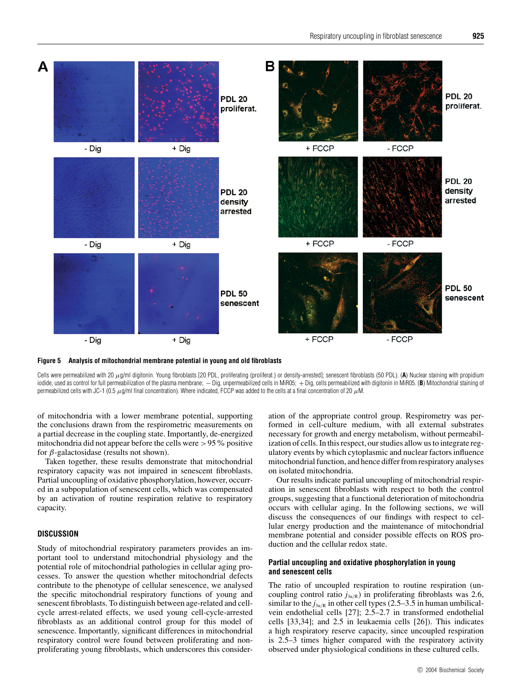

**Figure 5 Analysis of mitochondrial membrane potential in young and old fibroblasts**

Cells were permeabilized with 20 µg/ml digitonin. Young fibroblasts [20 PDL, proliferating (proliferat.) or density-arrested]; senescent fibroblasts (50 PDL). (**A**) Nuclear staining with propidium iodide, used as control for full permeabilization of the plasma membrane; − Dig, unpermeabilized cells in MiR05; + Dig, cells permeabilized with digitonin in MiR05. (**B**) Mitochondrial staining of permeabilized cells with JC-1 (0.5  $\mu$ g/ml final concentration). Where indicated, FCCP was added to the cells at a final concentration of 20  $\mu$ M.

of mitochondria with a lower membrane potential, supporting the conclusions drawn from the respirometric measurements on a partial decrease in the coupling state. Importantly, de-energized mitochondria did not appear before the cells were *>*95% positive for *β*-galactosidase (results not shown).

Taken together, these results demonstrate that mitochondrial respiratory capacity was not impaired in senescent fibroblasts. Partial uncoupling of oxidative phosphorylation, however, occurred in a subpopulation of senescent cells, which was compensated by an activation of routine respiration relative to respiratory capacity.

# **DISCUSSION**

Study of mitochondrial respiratory parameters provides an important tool to understand mitochondrial physiology and the potential role of mitochondrial pathologies in cellular aging processes. To answer the question whether mitochondrial defects contribute to the phenotype of cellular senescence, we analysed the specific mitochondrial respiratory functions of young and senescent fibroblasts. To distinguish between age-related and cellcycle arrest-related effects, we used young cell-cycle-arrested fibroblasts as an additional control group for this model of senescence. Importantly, significant differences in mitochondrial respiratory control were found between proliferating and nonproliferating young fibroblasts, which underscores this consideration of the appropriate control group. Respirometry was performed in cell-culture medium, with all external substrates necessary for growth and energy metabolism, without permeabilization of cells. In this respect, our studies allow us to integrate regulatory events by which cytoplasmic and nuclear factors influence mitochondrial function, and hence differ from respiratory analyses on isolated mitochondria.

Our results indicate partial uncoupling of mitochondrial respiration in senescent fibroblasts with respect to both the control groups, suggesting that a functional deterioration of mitochondria occurs with cellular aging. In the following sections, we will discuss the consequences of our findings with respect to cellular energy production and the maintenance of mitochondrial membrane potential and consider possible effects on ROS production and the cellular redox state.

# **Partial uncoupling and oxidative phosphorylation in young and senescent cells**

The ratio of uncoupled respiration to routine respiration (uncoupling control ratio  $j_{3u/R}$ ) in proliferating fibroblasts was 2.6, similar to the  $j_{3u/R}$  in other cell types (2.5–3.5 in human umbilicalvein endothelial cells [27]; 2.5–2.7 in transformed endothelial cells [33,34]; and 2.5 in leukaemia cells [26]). This indicates a high respiratory reserve capacity, since uncoupled respiration is 2.5–3 times higher compared with the respiratory activity observed under physiological conditions in these cultured cells.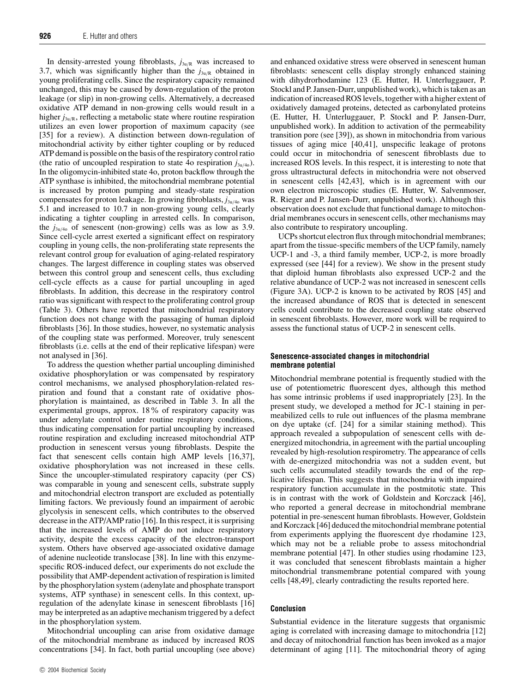In density-arrested young fibroblasts,  $j_{3u/R}$  was increased to 3.7, which was significantly higher than the  $j_{3u/R}$  obtained in young proliferating cells. Since the respiratory capacity remained unchanged, this may be caused by down-regulation of the proton leakage (or slip) in non-growing cells. Alternatively, a decreased oxidative ATP demand in non-growing cells would result in a higher  $j_{3u/R}$ , reflecting a metabolic state where routine respiration utilizes an even lower proportion of maximum capacity (see [35] for a review). A distinction between down-regulation of mitochondrial activity by either tighter coupling or by reduced ATP demand is possible on the basis of the respiratory control ratio (the ratio of uncoupled respiration to state 4o respiration  $j_{3u/40}$ ). In the oligomycin-inhibited state 4o, proton backflow through the ATP synthase is inhibited, the mitochondrial membrane potential is increased by proton pumping and steady-state respiration compensates for proton leakage. In growing fibroblasts,  $j_{3u/40}$  was 5.1 and increased to 10.7 in non-growing young cells, clearly indicating a tighter coupling in arrested cells. In comparison, the  $j_{3u/40}$  of senescent (non-growing) cells was as low as 3.9. Since cell-cycle arrest exerted a significant effect on respiratory coupling in young cells, the non-proliferating state represents the relevant control group for evaluation of aging-related respiratory changes. The largest difference in coupling states was observed between this control group and senescent cells, thus excluding cell-cycle effects as a cause for partial uncoupling in aged fibroblasts. In addition, this decrease in the respiratory control ratio was significant with respect to the proliferating control group (Table 3). Others have reported that mitochondrial respiratory function does not change with the passaging of human diploid fibroblasts [36]. In those studies, however, no systematic analysis of the coupling state was performed. Moreover, truly senescent fibroblasts (i.e. cells at the end of their replicative lifespan) were not analysed in [36].

To address the question whether partial uncoupling diminished oxidative phosphorylation or was compensated by respiratory control mechanisms, we analysed phosphorylation-related respiration and found that a constant rate of oxidative phosphorylation is maintained, as described in Table 3. In all the experimental groups, approx. 18% of respiratory capacity was under adenylate control under routine respiratory conditions, thus indicating compensation for partial uncoupling by increased routine respiration and excluding increased mitochondrial ATP production in senescent versus young fibroblasts. Despite the fact that senescent cells contain high AMP levels [16,37], oxidative phosphorylation was not increased in these cells. Since the uncoupler-stimulated respiratory capacity (per CS) was comparable in young and senescent cells, substrate supply and mitochondrial electron transport are excluded as potentially limiting factors. We previously found an impairment of aerobic glycolysis in senescent cells, which contributes to the observed decrease in the ATP/AMP ratio [16]. In this respect, it is surprising that the increased levels of AMP do not induce respiratory activity, despite the excess capacity of the electron-transport system. Others have observed age-associated oxidative damage of adenine nucleotide translocase [38]. In line with this enzymespecific ROS-induced defect, our experiments do not exclude the possibility that AMP-dependent activation of respiration is limited by the phosphorylation system (adenylate and phosphate transport systems, ATP synthase) in senescent cells. In this context, upregulation of the adenylate kinase in senescent fibroblasts [16] may be interpreted as an adaptive mechanism triggered by a defect in the phosphorylation system.

Mitochondrial uncoupling can arise from oxidative damage of the mitochondrial membrane as induced by increased ROS concentrations [34]. In fact, both partial uncoupling (see above) and enhanced oxidative stress were observed in senescent human fibroblasts: senescent cells display strongly enhanced staining with dihydrorhodamine 123 (E. Hutter, H. Unterluggauer, P. Stockl and P. Jansen-Durr, unpublished work), which is taken as an indication of increased ROS levels, together with a higher extent of oxidatively damaged proteins, detected as carbonylated proteins (E. Hutter, H. Unterluggauer, P. Stockl and P. Jansen-Durr, unpublished work). In addition to activation of the permeability transition pore (see [39]), as shown in mitochondria from various tissues of aging mice [40,41], unspecific leakage of protons could occur in mitochondria of senescent fibroblasts due to increased ROS levels. In this respect, it is interesting to note that gross ultrastructural defects in mitochondria were not observed in senescent cells [42,43], which is in agreement with our own electron microscopic studies (E. Hutter, W. Salvenmoser, R. Rieger and P. Jansen-Durr, unpublished work). Although this observation does not exclude that functional damage to mitochondrial membranes occurs in senescent cells, other mechanisms may also contribute to respiratory uncoupling.

UCPs shortcut electron flux through mitochondrial membranes; apart from the tissue-specific members of the UCP family, namely UCP-1 and -3, a third family member, UCP-2, is more broadly expressed (see [44] for a review). We show in the present study that diploid human fibroblasts also expressed UCP-2 and the relative abundance of UCP-2 was not increased in senescent cells (Figure 3A). UCP-2 is known to be activated by ROS [45] and the increased abundance of ROS that is detected in senescent cells could contribute to the decreased coupling state observed in senescent fibroblasts. However, more work will be required to assess the functional status of UCP-2 in senescent cells.

## **Senescence-associated changes in mitochondrial membrane potential**

Mitochondrial membrane potential is frequently studied with the use of potentiometric fluorescent dyes, although this method has some intrinsic problems if used inappropriately [23]. In the present study, we developed a method for JC-1 staining in permeabilized cells to rule out influences of the plasma membrane on dye uptake (cf. [24] for a similar staining method). This approach revealed a subpopulation of senescent cells with deenergized mitochondria, in agreement with the partial uncoupling revealed by high-resolution respirometry. The appearance of cells with de-energized mitochondria was not a sudden event, but such cells accumulated steadily towards the end of the replicative lifespan. This suggests that mitochondria with impaired respiratory function accumulate in the postmitotic state. This is in contrast with the work of Goldstein and Korczack [46], who reported a general decrease in mitochondrial membrane potential in pre-senescent human fibroblasts. However, Goldstein and Korczack [46] deduced the mitochondrial membrane potential from experiments applying the fluorescent dye rhodamine 123, which may not be a reliable probe to assess mitochondrial membrane potential [47]. In other studies using rhodamine 123, it was concluded that senescent fibroblasts maintain a higher mitochondrial transmembrane potential compared with young cells [48,49], clearly contradicting the results reported here.

# **Conclusion**

Substantial evidence in the literature suggests that organismic aging is correlated with increasing damage to mitochondria [12] and decay of mitochondrial function has been invoked as a major determinant of aging [11]. The mitochondrial theory of aging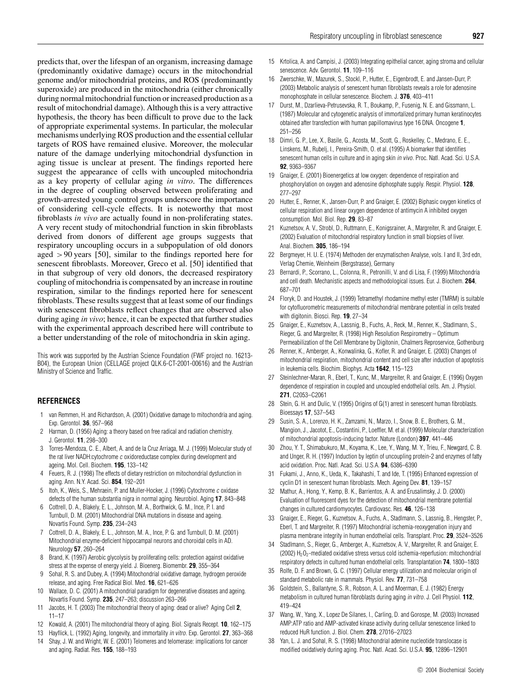predicts that, over the lifespan of an organism, increasing damage (predominantly oxidative damage) occurs in the mitochondrial genome and/or mitochondrial proteins, and ROS (predominantly superoxide) are produced in the mitochondria (either chronically during normal mitochondrial function or increased production as a result of mitochondrial damage). Although this is a very attractive hypothesis, the theory has been difficult to prove due to the lack of appropriate experimental systems. In particular, the molecular mechanisms underlying ROS production and the essential cellular targets of ROS have remained elusive. Moreover, the molecular nature of the damage underlying mitochondrial dysfunction in aging tissue is unclear at present. The findings reported here suggest the appearance of cells with uncoupled mitochondria as a key property of cellular aging *in vitro*. The differences in the degree of coupling observed between proliferating and growth-arrested young control groups underscore the importance of considering cell-cycle effects. It is noteworthy that most fibroblasts *in vivo* are actually found in non-proliferating states. A very recent study of mitochondrial function in skin fibroblasts derived from donors of different age groups suggests that respiratory uncoupling occurs in a subpopulation of old donors aged *>*90 years [50], similar to the findings reported here for senescent fibroblasts. Moreover, Greco et al. [50] identified that in that subgroup of very old donors, the decreased respiratory coupling of mitochondria is compensated by an increase in routine respiration, similar to the findings reported here for senescent fibroblasts. These results suggest that at least some of our findings with senescent fibroblasts reflect changes that are observed also during aging *in vivo*; hence, it can be expected that further studies with the experimental approach described here will contribute to a better understanding of the role of mitochondria in skin aging.

This work was supported by the Austrian Science Foundation (FWF project no. 16213- B04), the European Union (CELLAGE project QLK.6-CT-2001-00616) and the Austrian Ministry of Science and Traffic.

# **REFERENCES**

- 1 van Remmen, H. and Richardson, A. (2001) Oxidative damage to mitochondria and aging. Exp. Gerontol. **36**, 957–968
- 2 Harman, D. (1956) Aging: a theory based on free radical and radiation chemistry. J. Gerontol. **11**, 298–300
- 3 Torres-Mendoza, C. E., Albert, A. and de la Cruz Arriaga, M. J. (1999) Molecular study of the rat liver NADH:cytochrome <sup>c</sup> oxidoreductase complex during development and ageing. Mol. Cell. Biochem. **195**, 133–142
- 4 Feuers, R. J. (1998) The effects of dietary restriction on mitochondrial dysfunction in aging. Ann. N.Y. Acad. Sci. **854**, 192–201
- 5 Itoh, K., Weis, S., Mehraein, P. and Muller-Hocker, J. (1996) Cytochrome <sup>c</sup> oxidase defects of the human substantia nigra in normal aging. Neurobiol. Aging **17**, 843–848
- 6 Cottrell, D. A., Blakely, E. L., Johnson, M. A., Borthwick, G. M., Ince, P. I. and Turnbull, D. M. (2001) Mitochondrial DNA mutations in disease and ageing. Novartis Found. Symp. **235**, 234–243
- 7 Cottrell, D. A., Blakely, E. L., Johnson, M. A., Ince, P. G. and Turnbull, D. M. (2001) Mitochondrial enzyme-deficient hippocampal neurons and choroidal cells in AD. Neurology **57**, 260–264
- 8 Brand, K. (1997) Aerobic glycolysis by proliferating cells: protection against oxidative stress at the expense of energy yield. J. Bioenerg. Biomembr. **29**, 355–364
- 9 Sohal, R. S. and Dubey, A. (1994) Mitochondrial oxidative damage, hydrogen peroxide release, and aging. Free Radical Biol. Med. **16**, 621–626
- 10 Wallace, D. C. (2001) A mitochondrial paradigm for degenerative diseases and ageing. Novartis Found. Symp. **235**, 247–263; discussion 263–266
- 11 Jacobs, H. T. (2003) The mitochondrial theory of aging: dead or alive? Aging Cell **2**, 11–17
- 12 Kowald, A. (2001) The mitochondrial theory of aging. Biol. Signals Recept. **10**, 162–175
- 13 Hayflick, L. (1992) Aging, longevity, and immortality in vitro. Exp. Gerontol. **27**, 363–368
- 14 Shay, J. W. and Wright, W. E. (2001) Telomeres and telomerase: implications for cancer and aging. Radiat. Res. **155**, 188–193
- 15 Krtolica, A. and Campisi, J. (2003) Integrating epithelial cancer, aging stroma and cellular senescence. Adv. Gerontol. **11**, 109–116
- 16 Zwerschke, W., Mazurek, S., Stockl, P., Hutter, E., Eigenbrodt, E. and Jansen-Durr, P. (2003) Metabolic analysis of senescent human fibroblasts reveals a role for adenosine monophosphate in cellular senescence. Biochem. J. **376**, 403–411
- 17 Durst, M., Dzarlieva-Petrusevska, R. T., Boukamp, P., Fusenig, N. E. and Gissmann, L. (1987) Molecular and cytogenetic analysis of immortalized primary human keratinocytes obtained after transfection with human papillomavirus type 16 DNA. Oncogene **1**, 251–256
- 18 Dimri, G. P., Lee, X., Basile, G., Acosta, M., Scott, G., Roskelley, C., Medrano, E. E., Linskens, M., Rubelj, I., Pereira-Smith, O. et al. (1995) A biomarker that identifies senescent human cells in culture and in aging skin in vivo. Proc. Natl. Acad. Sci. U.S.A. **92**, 9363–9367
- 19 Gnaiger, E. (2001) Bioenergetics at low oxygen: dependence of respiration and phosphorylation on oxygen and adenosine diphosphate supply. Respir. Physiol. **128**, 277–297
- 20 Hutter, E., Renner, K., Jansen-Durr, P. and Gnaiger, E. (2002) Biphasic oxygen kinetics of cellular respiration and linear oxygen dependence of antimycin A inhibited oxygen consumption. Mol. Biol. Rep. **29**, 83–87
- 21 Kuznetsov, A. V., Strobl, D., Ruttmann, E., Konigsrainer, A., Margreiter, R. and Gnaiger, E. (2002) Evaluation of mitochondrial respiratory function in small biopsies of liver. Anal. Biochem. **305**, 186–194
- 22 Bergmeyer, H. U. E. (1974) Methoden der enzymatischen Analyse, vols. I and II, 3rd edn, Verlag Chemie, Weinheim (Bergstrasse), Germany
- 23 Bernardi, P., Scorrano, L., Colonna, R., Petronilli, V. and di Lisa, F. (1999) Mitochondria and cell death. Mechanistic aspects and methodological issues. Eur. J. Biochem. **264**, 687–701
- 24 Floryk, D. and Houstek, J. (1999) Tetramethyl rhodamine methyl ester (TMRM) is suitable for cytofluorometric measurements of mitochondrial membrane potential in cells treated with digitonin. Biosci. Rep. **19**, 27–34
- 25 Gnaiger, E., Kuznetsov, A., Lassnig, B., Fuchs, A., Reck, M., Renner, K., Stadlmann, S., Rieger, G. and Margreiter, R. (1998) High Resolution Respirometry – Optimum Permeabilization of the Cell Membrane by Digitonin, Chalmers Reproservice, Gothenburg
- 26 Renner, K., Amberger, A., Konwalinka, G., Kofler, R. and Gnaiger, E. (2003) Changes of mitochondrial respiration, mitochondrial content and cell size after induction of apoptosis in leukemia cells. Biochim. Biophys. Acta **1642**, 115–123
- 27 Steinlechner-Maran, R., Eberl, T., Kunc, M., Margreiter, R. and Gnaiger, E. (1996) Oxygen dependence of respiration in coupled and uncoupled endothelial cells. Am. J. Physiol. **271**, C2053–C2061
- 28 Stein, G. H. and Dulic, V. (1995) Origins of G(1) arrest in senescent human fibroblasts. Bioessays **17**, 537–543
- 29 Susin, S. A., Lorenzo, H. K., Zamzami, N., Marzo, I., Snow, B. E., Brothers, G. M., Mangion, J., Jacotot, E., Costantini, P., Loeffler, M. et al. (1999) Molecular characterization of mitochondrial apoptosis-inducing factor. Nature (London) **397**, 441–446
- 30 Zhou, Y. T., Shimabukuro, M., Koyama, K., Lee, Y., Wang, M. Y., Trieu, F., Newgard, C. B. and Unger, R. H. (1997) Induction by leptin of uncoupling protein-2 and enzymes of fatty acid oxidation. Proc. Natl. Acad. Sci. U.S.A. **94**, 6386–6390
- 31 Fukami, J., Anno, K., Ueda, K., Takahashi, T. and Ide, T. (1995) Enhanced expression of cyclin D1 in senescent human fibroblasts. Mech. Ageing Dev. **81**, 139–157
- 32 Mathur, A., Hong, Y., Kemp, B. K., Barrientos, A. A. and Erusalimsky, J. D. (2000) Evaluation of fluorescent dyes for the detection of mitochondrial membrane potential changes in cultured cardiomyocytes. Cardiovasc. Res. **46**, 126–138
- 33 Gnaiger, E., Rieger, G., Kuznetsov, A., Fuchs, A., Stadlmann, S., Lassnig, B., Hengster, P., Eberl, T. and Margreiter, R. (1997) Mitochondrial ischemia-reoxygenation injury and plasma membrane integrity in human endothelial cells. Transplant. Proc. **29**, 3524–3526
- 34 Stadlmann, S., Rieger, G., Amberger, A., Kuznetsov, A. V., Margreiter, R. and Gnaiger, E. (2002)  $H_2O_2$ -mediated oxidative stress versus cold ischemia-reperfusion: mitochondrial respiratory defects in cultured human endothelial cells. Transplantation **74**, 1800–1803
- 35 Rolfe, D. F. and Brown, G. C. (1997) Cellular energy utilization and molecular origin of standard metabolic rate in mammals. Physiol. Rev. **77**, 731–758
- 36 Goldstein, S., Ballantyne, S. R., Robson, A. L. and Moerman, E. J. (1982) Energy metabolism in cultured human fibroblasts during aging in vitro. J. Cell Physiol. **112**, 419–424
- 37 Wang, W., Yang, X., Lopez De Silanes, I., Carling, D. and Gorospe, M. (2003) Increased AMP:ATP ratio and AMP-activated kinase activity during cellular senescence linked to reduced HuR function. J. Biol. Chem. **278**, 27016–27023
- 38 Yan, L. J. and Sohal, R. S. (1998) Mitochondrial adenine nucleotide translocase is modified oxidatively during aging. Proc. Natl. Acad. Sci. U.S.A. **95**, 12896–12901